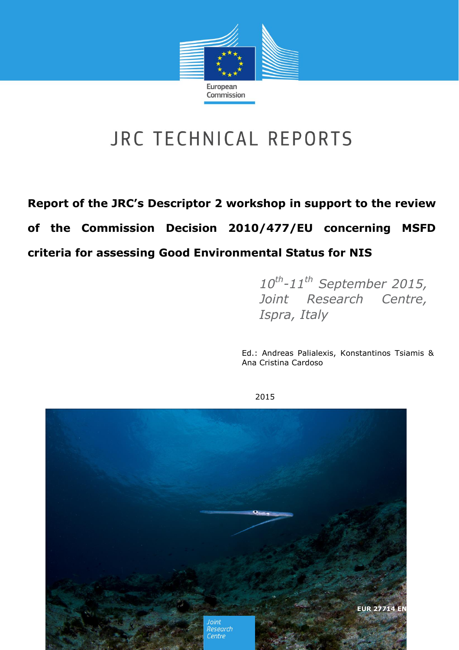

# JRC TECHNICAL REPORTS

**Report of the JRC's Descriptor 2 workshop in support to the review of the Commission Decision 2010/477/EU concerning MSFD criteria for assessing Good Environmental Status for NIS**

> *10th -11th September 2015, Joint Research Centre, Ispra, Italy*

Ed.: Andreas Palialexis, Konstantinos Tsiamis & Ana Cristina Cardoso



2015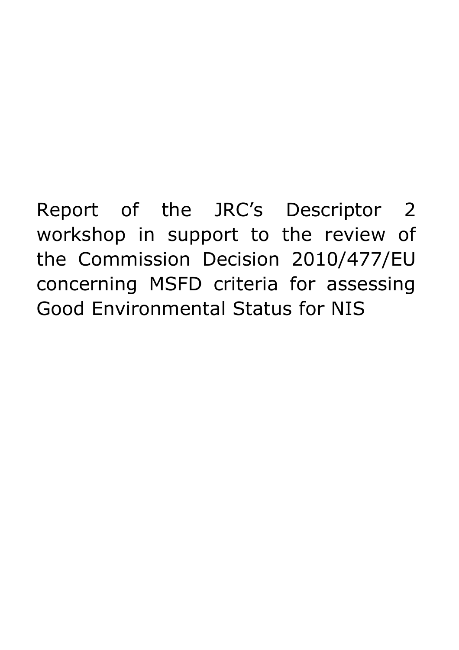Report of the JRC's Descriptor 2 workshop in support to the review of the Commission Decision 2010/477/EU concerning MSFD criteria for assessing Good Environmental Status for NIS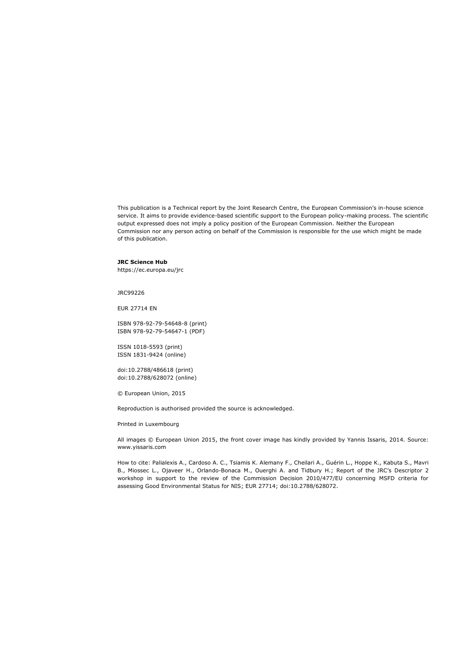This publication is a Technical report by the Joint Research Centre, the European Commission's in-house science service. It aims to provide evidence-based scientific support to the European policy-making process. The scientific output expressed does not imply a policy position of the European Commission. Neither the European Commission nor any person acting on behalf of the Commission is responsible for the use which might be made of this publication.

#### **JRC Science Hub**

https://ec.europa.eu/jrc

JRC99226

EUR 27714 EN

ISBN 978-92-79-54648-8 (print) ISBN 978-92-79-54647-1 (PDF)

ISSN 1018-5593 (print) ISSN 1831-9424 (online)

doi:10.2788/486618 (print) doi:10.2788/628072 (online)

© European Union, 2015

Reproduction is authorised provided the source is acknowledged.

Printed in Luxembourg

All images © European Union 2015, the front cover image has kindly provided by Yannis Issaris, 2014. Source: www.yissaris.com

How to cite: Palialexis A., Cardoso A. C., Tsiamis K. Alemany F., Cheilari A., Guérin L., Hoppe K., Kabuta S., Mavri B., Miossec L., Ojaveer H., Orlando-Bonaca M., Ouerghi A. and Tidbury H.; Report of the JRC's Descriptor 2 workshop in support to the review of the Commission Decision 2010/477/EU concerning MSFD criteria for assessing Good Environmental Status for NIS; EUR 27714; doi:10.2788/628072.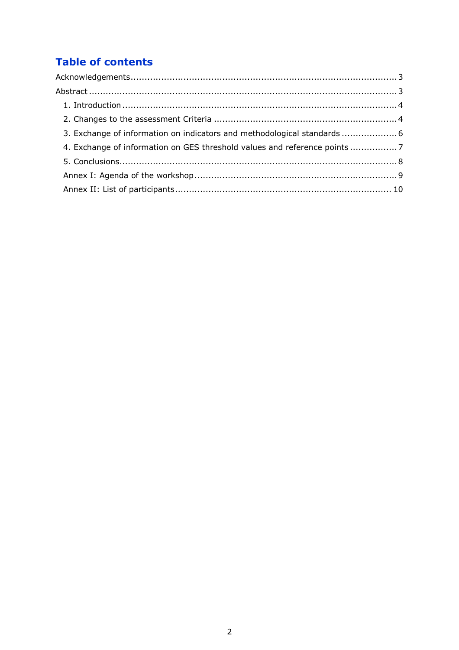# **Table of contents**

| 3. Exchange of information on indicators and methodological standards  6 |  |
|--------------------------------------------------------------------------|--|
| 4. Exchange of information on GES threshold values and reference points  |  |
|                                                                          |  |
|                                                                          |  |
|                                                                          |  |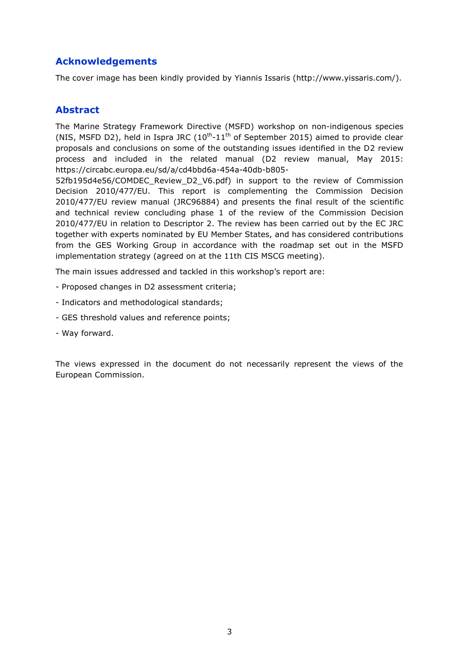#### <span id="page-4-0"></span>**Acknowledgements**

The cover image has been kindly provided by Yiannis Issaris (http://www.yissaris.com/).

#### <span id="page-4-1"></span>**Abstract**

The Marine Strategy Framework Directive (MSFD) workshop on non-indigenous species (NIS, MSFD D2), held in Ispra JRC  $(10^{th} - 11^{th}$  of September 2015) aimed to provide clear proposals and conclusions on some of the outstanding issues identified in the D2 review process and included in the related manual (D2 review manual, May 2015: [https://circabc.europa.eu/sd/a/cd4bbd6a-454a-40db-b805-](https://circabc.europa.eu/sd/a/cd4bbd6a-454a-40db-b805-52fb195d4e56/COMDEC_Review_D2_V6.pdf)

[52fb195d4e56/COMDEC\\_Review\\_D2\\_V6.pdf\)](https://circabc.europa.eu/sd/a/cd4bbd6a-454a-40db-b805-52fb195d4e56/COMDEC_Review_D2_V6.pdf) in support to the review of Commission Decision 2010/477/EU. This report is complementing the Commission Decision 2010/477/EU review manual (JRC96884) and presents the final result of the scientific and technical review concluding phase 1 of the review of the Commission Decision 2010/477/EU in relation to Descriptor 2. The review has been carried out by the EC JRC together with experts nominated by EU Member States, and has considered contributions from the GES Working Group in accordance with the roadmap set out in the MSFD implementation strategy (agreed on at the 11th CIS MSCG meeting).

The main issues addressed and tackled in this workshop's report are:

- Proposed changes in D2 assessment criteria;
- Indicators and methodological standards;
- GES threshold values and reference points;
- Way forward.

The views expressed in the document do not necessarily represent the views of the European Commission.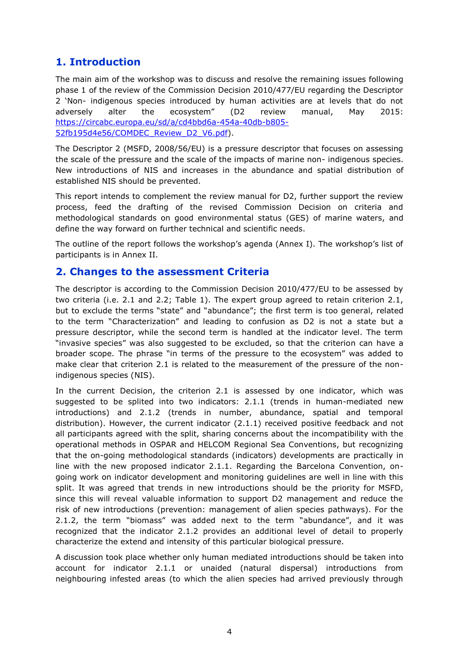### <span id="page-5-0"></span>**1. Introduction**

The main aim of the workshop was to discuss and resolve the remaining issues following phase 1 of the review of the Commission Decision 2010/477/EU regarding the Descriptor 2 'Non- indigenous species introduced by human activities are at levels that do not adversely alter the ecosystem" (D2 review manual, May 2015: [https://circabc.europa.eu/sd/a/cd4bbd6a-454a-40db-b805-](https://circabc.europa.eu/sd/a/cd4bbd6a-454a-40db-b805-52fb195d4e56/COMDEC_Review_D2_V6.pdf) [52fb195d4e56/COMDEC\\_Review\\_D2\\_V6.pdf\)](https://circabc.europa.eu/sd/a/cd4bbd6a-454a-40db-b805-52fb195d4e56/COMDEC_Review_D2_V6.pdf).

The Descriptor 2 (MSFD, 2008/56/EU) is a pressure descriptor that focuses on assessing the scale of the pressure and the scale of the impacts of marine non- indigenous species. New introductions of NIS and increases in the abundance and spatial distribution of established NIS should be prevented.

This report intends to complement the review manual for D2, further support the review process, feed the drafting of the revised Commission Decision on criteria and methodological standards on good environmental status (GES) of marine waters, and define the way forward on further technical and scientific needs.

The outline of the report follows the workshop's agenda (Annex I). The workshop's list of participants is in Annex II.

#### <span id="page-5-1"></span>**2. Changes to the assessment Criteria**

The descriptor is according to the Commission Decision 2010/477/EU to be assessed by two criteria (i.e. 2.1 and 2.2; Table 1). The expert group agreed to retain criterion 2.1, but to exclude the terms "state" and "abundance"; the first term is too general, related to the term "Characterization" and leading to confusion as D2 is not a state but a pressure descriptor, while the second term is handled at the indicator level. The term "invasive species" was also suggested to be excluded, so that the criterion can have a broader scope. The phrase "in terms of the pressure to the ecosystem" was added to make clear that criterion 2.1 is related to the measurement of the pressure of the nonindigenous species (NIS).

In the current Decision, the criterion 2.1 is assessed by one indicator, which was suggested to be splited into two indicators: 2.1.1 (trends in human-mediated new introductions) and 2.1.2 (trends in number, abundance, spatial and temporal distribution). However, the current indicator (2.1.1) received positive feedback and not all participants agreed with the split, sharing concerns about the incompatibility with the operational methods in OSPAR and HELCOM Regional Sea Conventions, but recognizing that the on-going methodological standards (indicators) developments are practically in line with the new proposed indicator 2.1.1. Regarding the Barcelona Convention, ongoing work on indicator development and monitoring guidelines are well in line with this split. It was agreed that trends in new introductions should be the priority for MSFD, since this will reveal valuable information to support D2 management and reduce the risk of new introductions (prevention: management of alien species pathways). For the 2.1.2, the term "biomass" was added next to the term "abundance", and it was recognized that the indicator 2.1.2 provides an additional level of detail to properly characterize the extend and intensity of this particular biological pressure.

A discussion took place whether only human mediated introductions should be taken into account for indicator 2.1.1 or unaided (natural dispersal) introductions from neighbouring infested areas (to which the alien species had arrived previously through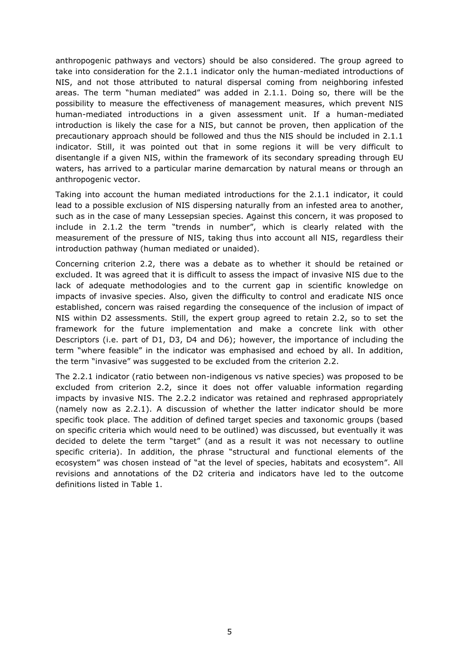anthropogenic pathways and vectors) should be also considered. The group agreed to take into consideration for the 2.1.1 indicator only the human-mediated introductions of NIS, and not those attributed to natural dispersal coming from neighboring infested areas. The term "human mediated" was added in 2.1.1. Doing so, there will be the possibility to measure the effectiveness of management measures, which prevent NIS human-mediated introductions in a given assessment unit. If a human-mediated introduction is likely the case for a NIS, but cannot be proven, then application of the precautionary approach should be followed and thus the NIS should be included in 2.1.1 indicator. Still, it was pointed out that in some regions it will be very difficult to disentangle if a given NIS, within the framework of its secondary spreading through EU waters, has arrived to a particular marine demarcation by natural means or through an anthropogenic vector.

Taking into account the human mediated introductions for the 2.1.1 indicator, it could lead to a possible exclusion of NIS dispersing naturally from an infested area to another, such as in the case of many Lessepsian species. Against this concern, it was proposed to include in 2.1.2 the term "trends in number", which is clearly related with the measurement of the pressure of NIS, taking thus into account all NIS, regardless their introduction pathway (human mediated or unaided).

Concerning criterion 2.2, there was a debate as to whether it should be retained or excluded. It was agreed that it is difficult to assess the impact of invasive NIS due to the lack of adequate methodologies and to the current gap in scientific knowledge on impacts of invasive species. Also, given the difficulty to control and eradicate NIS once established, concern was raised regarding the consequence of the inclusion of impact of NIS within D2 assessments. Still, the expert group agreed to retain 2.2, so to set the framework for the future implementation and make a concrete link with other Descriptors (i.e. part of D1, D3, D4 and D6); however, the importance of including the term "where feasible" in the indicator was emphasised and echoed by all. In addition, the term "invasive" was suggested to be excluded from the criterion 2.2.

The 2.2.1 indicator (ratio between non-indigenous vs native species) was proposed to be excluded from criterion 2.2, since it does not offer valuable information regarding impacts by invasive NIS. The 2.2.2 indicator was retained and rephrased appropriately (namely now as 2.2.1). A discussion of whether the latter indicator should be more specific took place. The addition of defined target species and taxonomic groups (based on specific criteria which would need to be outlined) was discussed, but eventually it was decided to delete the term "target" (and as a result it was not necessary to outline specific criteria). In addition, the phrase "structural and functional elements of the ecosystem" was chosen instead of "at the level of species, habitats and ecosystem". All revisions and annotations of the D2 criteria and indicators have led to the outcome definitions listed in Table 1.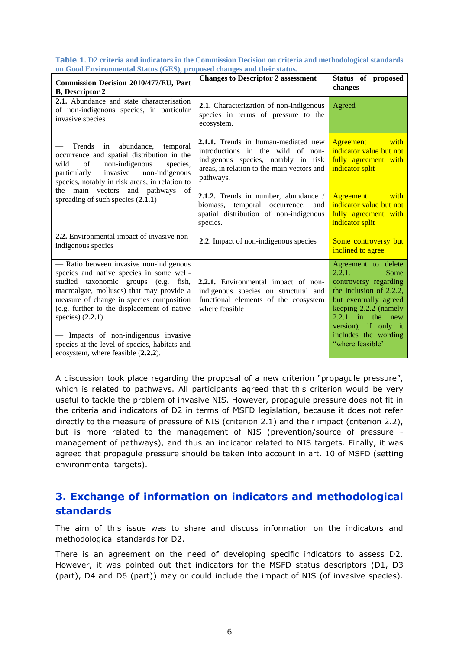|  |                                                                        |  | Table 1. D2 criteria and indicators in the Commission Decision on criteria and methodological standards |
|--|------------------------------------------------------------------------|--|---------------------------------------------------------------------------------------------------------|
|  | on Good Environmental Status (GES), proposed changes and their status. |  |                                                                                                         |

| Commission Decision 2010/477/EU, Part<br><b>B</b> , Descriptor 2                                                                                                                                                                                                                                                                                                                                                      | <b>Changes to Descriptor 2 assessment</b>                                                                                                                                  | Status of proposed<br>changes                                                                                                                                                                                                               |
|-----------------------------------------------------------------------------------------------------------------------------------------------------------------------------------------------------------------------------------------------------------------------------------------------------------------------------------------------------------------------------------------------------------------------|----------------------------------------------------------------------------------------------------------------------------------------------------------------------------|---------------------------------------------------------------------------------------------------------------------------------------------------------------------------------------------------------------------------------------------|
| 2.1. Abundance and state characterisation<br>of non-indigenous species, in particular<br>invasive species                                                                                                                                                                                                                                                                                                             | 2.1. Characterization of non-indigenous<br>species in terms of pressure to the<br>ecosystem.                                                                               | Agreed                                                                                                                                                                                                                                      |
| Trends<br>in abundance,<br>temporal<br>occurrence and spatial distribution in the<br>of<br>non-indigenous<br>wild<br>species,<br>non-indigenous<br>invasive<br>particularly<br>species, notably in risk areas, in relation to                                                                                                                                                                                         | 2.1.1. Trends in human-mediated new<br>introductions in the wild of non-<br>indigenous species, notably in risk<br>areas, in relation to the main vectors and<br>pathways. | Agreement<br>with<br>indicator value but not<br>fully agreement with<br>indicator split                                                                                                                                                     |
| main vectors and pathways<br>- of<br>the<br>spreading of such species $(2.1.1)$                                                                                                                                                                                                                                                                                                                                       | 2.1.2. Trends in number, abundance /<br>biomass, temporal occurrence, and<br>spatial distribution of non-indigenous<br>species.                                            | Agreement<br>with<br>indicator value but not<br>fully agreement with<br>indicator split                                                                                                                                                     |
| 2.2. Environmental impact of invasive non-<br>indigenous species                                                                                                                                                                                                                                                                                                                                                      | 2.2. Impact of non-indigenous species                                                                                                                                      | Some controversy but<br>inclined to agree                                                                                                                                                                                                   |
| - Ratio between invasive non-indigenous<br>species and native species in some well-<br>studied taxonomic groups (e.g. fish,<br>macroalgae, molluscs) that may provide a<br>measure of change in species composition<br>(e.g. further to the displacement of native<br>species) $(2.2.1)$<br>Impacts of non-indigenous invasive<br>species at the level of species, habitats and<br>ecosystem, where feasible (2.2.2). | 2.2.1. Environmental impact of non-<br>indigenous species on structural and<br>functional elements of the ecosystem<br>where feasible                                      | Agreement to delete<br>2.2.1.<br>Some<br>controversy regarding<br>the inclusion of $2.2.2$ ,<br>but eventually agreed<br>keeping 2.2.2 (namely<br>$2.2.1$ in the<br>new<br>version), if only it<br>includes the wording<br>"where feasible" |

A discussion took place regarding the proposal of a new criterion "propagule pressure", which is related to pathways. All participants agreed that this criterion would be very useful to tackle the problem of invasive NIS. However, propagule pressure does not fit in the criteria and indicators of D2 in terms of MSFD legislation, because it does not refer directly to the measure of pressure of NIS (criterion 2.1) and their impact (criterion 2.2), but is more related to the management of NIS (prevention/source of pressure management of pathways), and thus an indicator related to NIS targets. Finally, it was agreed that propagule pressure should be taken into account in art. 10 of MSFD (setting environmental targets).

### <span id="page-7-0"></span>**3. Exchange of information on indicators and methodological standards**

The aim of this issue was to share and discuss information on the indicators and methodological standards for D2.

There is an agreement on the need of developing specific indicators to assess D2. However, it was pointed out that indicators for the MSFD status descriptors (D1, D3 (part), D4 and D6 (part)) may or could include the impact of NIS (of invasive species).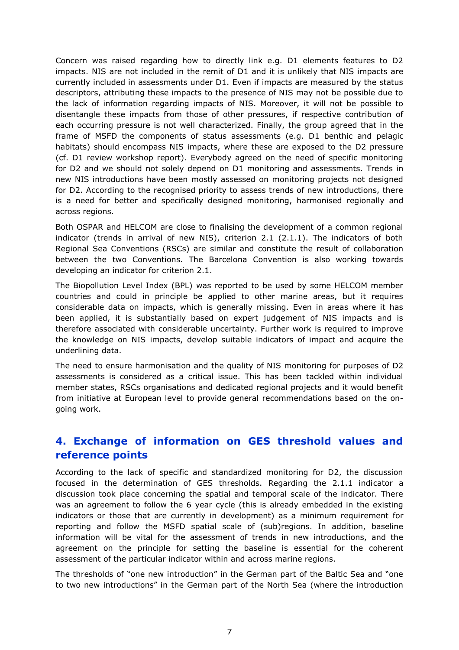Concern was raised regarding how to directly link e.g. D1 elements features to D2 impacts. NIS are not included in the remit of D1 and it is unlikely that NIS impacts are currently included in assessments under D1. Even if impacts are measured by the status descriptors, attributing these impacts to the presence of NIS may not be possible due to the lack of information regarding impacts of NIS. Moreover, it will not be possible to disentangle these impacts from those of other pressures, if respective contribution of each occurring pressure is not well characterized. Finally, the group agreed that in the frame of MSFD the components of status assessments (e.g. D1 benthic and pelagic habitats) should encompass NIS impacts, where these are exposed to the D2 pressure (cf. D1 review workshop report). Everybody agreed on the need of specific monitoring for D2 and we should not solely depend on D1 monitoring and assessments. Trends in new NIS introductions have been mostly assessed on monitoring projects not designed for D2. According to the recognised priority to assess trends of new introductions, there is a need for better and specifically designed monitoring, harmonised regionally and across regions.

Both OSPAR and HELCOM are close to finalising the development of a common regional indicator (trends in arrival of new NIS), criterion 2.1 (2.1.1). The indicators of both Regional Sea Conventions (RSCs) are similar and constitute the result of collaboration between the two Conventions. The Barcelona Convention is also working towards developing an indicator for criterion 2.1.

The Biopollution Level Index (BPL) was reported to be used by some HELCOM member countries and could in principle be applied to other marine areas, but it requires considerable data on impacts, which is generally missing. Even in areas where it has been applied, it is substantially based on expert judgement of NIS impacts and is therefore associated with considerable uncertainty. Further work is required to improve the knowledge on NIS impacts, develop suitable indicators of impact and acquire the underlining data.

The need to ensure harmonisation and the quality of NIS monitoring for purposes of D2 assessments is considered as a critical issue. This has been tackled within individual member states, RSCs organisations and dedicated regional projects and it would benefit from initiative at European level to provide general recommendations based on the ongoing work.

### <span id="page-8-0"></span>**4. Exchange of information on GES threshold values and reference points**

According to the lack of specific and standardized monitoring for D2, the discussion focused in the determination of GES thresholds. Regarding the 2.1.1 indicator a discussion took place concerning the spatial and temporal scale of the indicator. There was an agreement to follow the 6 year cycle (this is already embedded in the existing indicators or those that are currently in development) as a minimum requirement for reporting and follow the MSFD spatial scale of (sub)regions. In addition, baseline information will be vital for the assessment of trends in new introductions, and the agreement on the principle for setting the baseline is essential for the coherent assessment of the particular indicator within and across marine regions.

The thresholds of "one new introduction" in the German part of the Baltic Sea and "one to two new introductions" in the German part of the North Sea (where the introduction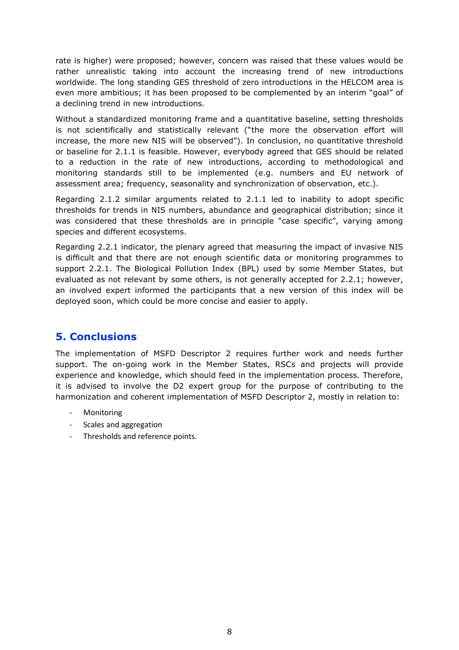rate is higher) were proposed; however, concern was raised that these values would be rather unrealistic taking into account the increasing trend of new introductions worldwide. The long standing GES threshold of zero introductions in the HELCOM area is even more ambitious; it has been proposed to be complemented by an interim "goal" of a declining trend in new introductions.

Without a standardized monitoring frame and a quantitative baseline, setting thresholds is not scientifically and statistically relevant ("the more the observation effort will increase, the more new NIS will be observed"). In conclusion, no quantitative threshold or baseline for 2.1.1 is feasible. However, everybody agreed that GES should be related to a reduction in the rate of new introductions, according to methodological and monitoring standards still to be implemented (e.g. numbers and EU network of assessment area; frequency, seasonality and synchronization of observation, etc.).

Regarding 2.1.2 similar arguments related to 2.1.1 led to inability to adopt specific thresholds for trends in NIS numbers, abundance and geographical distribution; since it was considered that these thresholds are in principle "case specific", varying among species and different ecosystems.

Regarding 2.2.1 indicator, the plenary agreed that measuring the impact of invasive NIS is difficult and that there are not enough scientific data or monitoring programmes to support 2.2.1. The Biological Pollution Index (BPL) used by some Member States, but evaluated as not relevant by some others, is not generally accepted for 2.2.1; however, an involved expert informed the participants that a new version of this index will be deployed soon, which could be more concise and easier to apply.

### <span id="page-9-0"></span>**5. Conclusions**

The implementation of MSFD Descriptor 2 requires further work and needs further support. The on-going work in the Member States, RSCs and projects will provide experience and knowledge, which should feed in the implementation process. Therefore, it is advised to involve the D2 expert group for the purpose of contributing to the harmonization and coherent implementation of MSFD Descriptor 2, mostly in relation to:

- **Monitoring**
- Scales and aggregation
- Thresholds and reference points.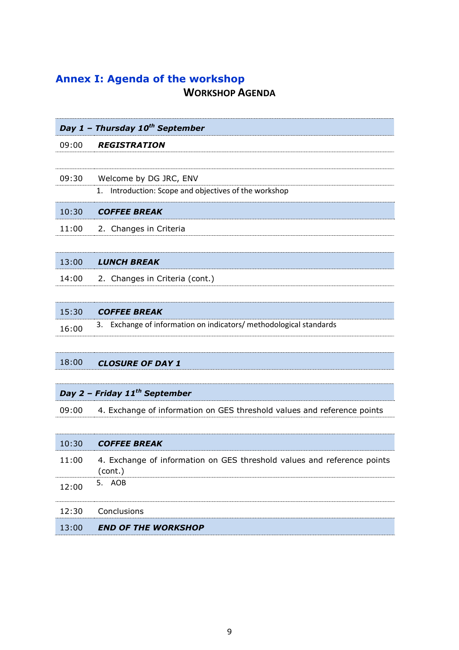## <span id="page-10-0"></span>**Annex I: Agenda of the workshop WORKSHOP AGENDA**

|       | Day 1 - Thursday 10 <sup>th</sup> September                        |
|-------|--------------------------------------------------------------------|
| 09:00 | <b>REGISTRATION</b>                                                |
|       |                                                                    |
| 09:30 | Welcome by DG JRC, ENV                                             |
|       | Introduction: Scope and objectives of the workshop<br>1.           |
| 10:30 | <b>COFFEE BREAK</b>                                                |
| 11:00 | 2. Changes in Criteria                                             |
|       |                                                                    |
| 13:00 | <b>LUNCH BREAK</b>                                                 |
| 14:00 | 2. Changes in Criteria (cont.)                                     |
|       |                                                                    |
| 15:30 | <b>COFFEE BREAK</b>                                                |
| 16:00 | 3. Exchange of information on indicators/ methodological standards |
|       |                                                                    |
|       |                                                                    |

## 18:00 *CLOSURE OF DAY 1*

### *Day 2 – Friday 11th September*

09:00 4. Exchange of information on GES threshold values and reference points

|       | 10:30 <b>COFFEE BREAK</b>                                                          |
|-------|------------------------------------------------------------------------------------|
| 11:00 | 4. Exchange of information on GES threshold values and reference points<br>(cont.) |
| 12:00 | 5. AOB                                                                             |
|       | 12:30 Conclusions                                                                  |
| 13:00 | <b>END OF THE WORKSHOP</b>                                                         |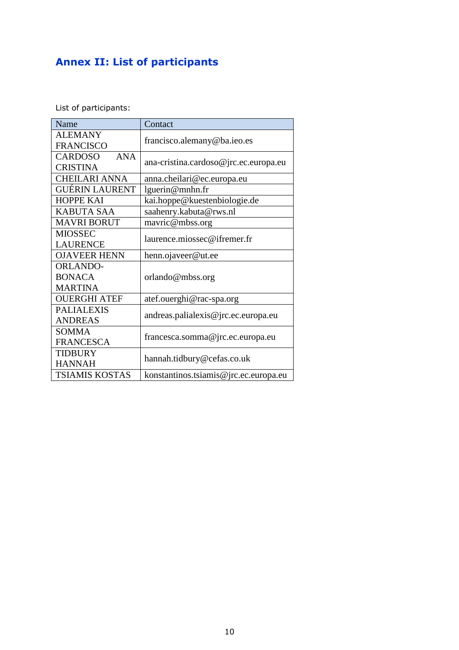# <span id="page-11-0"></span>**Annex II: List of participants**

List of participants:

| Name                         | Contact                               |  |
|------------------------------|---------------------------------------|--|
| <b>ALEMANY</b>               | francisco.alemany@ba.ieo.es           |  |
| <b>FRANCISCO</b>             |                                       |  |
| <b>CARDOSO</b><br><b>ANA</b> | ana-cristina.cardoso@jrc.ec.europa.eu |  |
| <b>CRISTINA</b>              |                                       |  |
| <b>CHEILARI ANNA</b>         | anna.cheilari@ec.europa.eu            |  |
| <b>GUÉRIN LAURENT</b>        | lguerin@mnhn.fr                       |  |
| <b>HOPPE KAI</b>             | kai.hoppe@kuestenbiologie.de          |  |
| <b>KABUTA SAA</b>            | saahenry.kabuta@rws.nl                |  |
| <b>MAVRI BORUT</b>           | mavric@mbss.org                       |  |
| <b>MIOSSEC</b>               |                                       |  |
| <b>LAURENCE</b>              | laurence.miossec@ifremer.fr           |  |
| <b>OJAVEER HENN</b>          | henn.ojaveer@ut.ee                    |  |
| <b>ORLANDO-</b>              |                                       |  |
| <b>BONACA</b>                | orlando@mbss.org                      |  |
| <b>MARTINA</b>               |                                       |  |
| <b>OUERGHI ATEF</b>          | atef.ouerghi@rac-spa.org              |  |
| <b>PALIALEXIS</b>            | andreas.palialexis@jrc.ec.europa.eu   |  |
| <b>ANDREAS</b>               |                                       |  |
| <b>SOMMA</b>                 | francesca.somma@jrc.ec.europa.eu      |  |
| <b>FRANCESCA</b>             |                                       |  |
| <b>TIDBURY</b>               | hannah.tidbury@cefas.co.uk            |  |
| <b>HANNAH</b>                |                                       |  |
| <b>TSIAMIS KOSTAS</b>        | konstantinos.tsiamis@jrc.ec.europa.eu |  |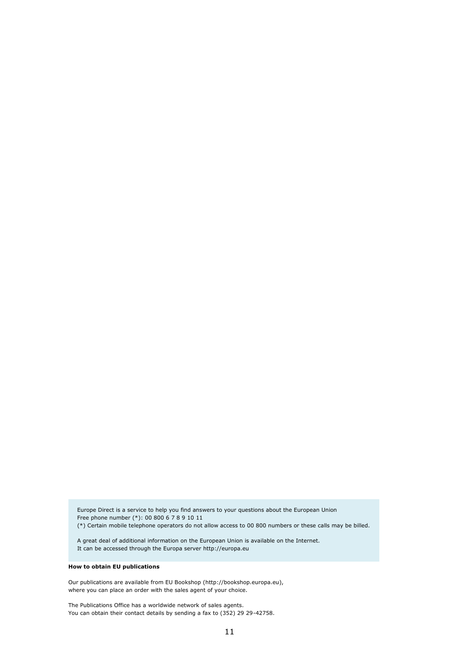Europe Direct is a service to help you find answers to your questions about the European Union Free phone number (\*): 00 800 6 7 8 9 10 11 (\*) Certain mobile telephone operators do not allow access to 00 800 numbers or these calls may be billed.

A great deal of additional information on the European Union is available on the Internet. It can be accessed through the Europa server http://europa.eu

#### **How to obtain EU publications**

Our publications are available from EU Bookshop (http://bookshop.europa.eu), where you can place an order with the sales agent of your choice.

The Publications Office has a worldwide network of sales agents. You can obtain their contact details by sending a fax to (352) 29 29-42758.